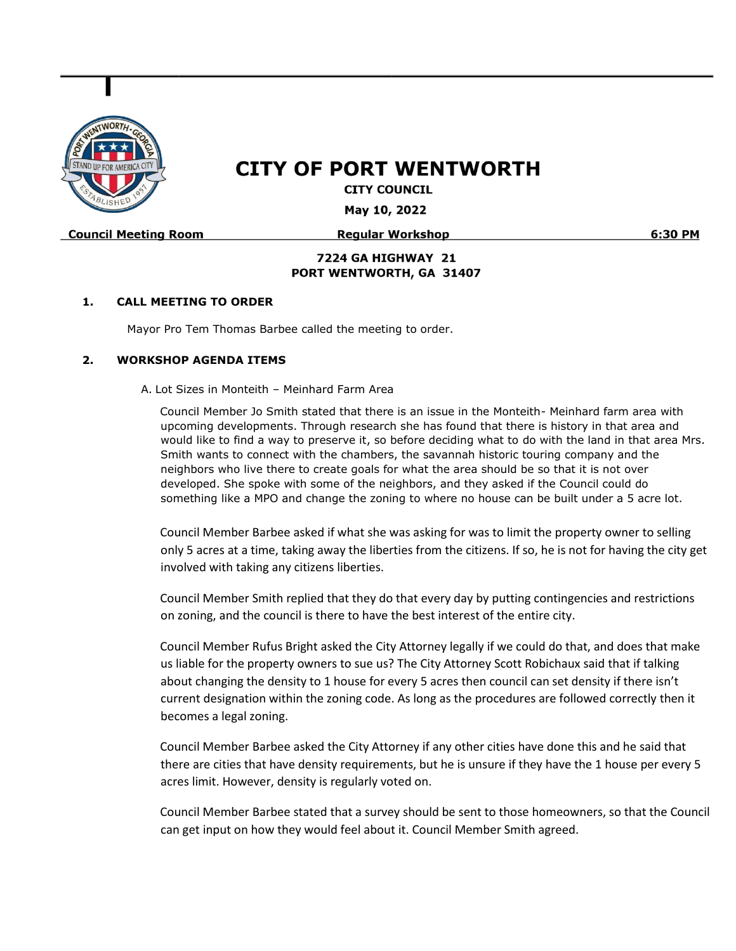

# **CITY OF PORT WENTWORTH**

**CITY COUNCIL** 

May 10, 2022

**Council Meeting Room** 

**Regular Workshop** 

6:30 PM

### **7224 GA HIGHWAY 21** PORT WENTWORTH, GA 31407

#### **1. CALL MEETING TO ORDER**

Mayor Pro Tem Thomas Barbee called the meeting to order.

#### **2. WORKSHOP AGENDA ITEMS**

A. Lot Sizes in Monteith – Meinhard Farm Area

Council Member Jo Smith stated that there is an issue in the Monteith- Meinhard farm area with upcoming developments. Through research she has found that there is history in that area and would like to find a way to preserve it, so before deciding what to do with the land in that area Mrs. Smith wants to connect with the chambers, the savannah historic touring company and the neighbors who live there to create goals for what the area should be so that it is not over developed. She spoke with some of the neighbors, and they asked if the Council could do something like a MPO and change the zoning to where no house can be built under a 5 acre lot.

Council Member Barbee asked if what she was asking for was to limit the property owner to selling only 5 acres at a time, taking away the liberties from the citizens. If so, he is not for having the city get involved with taking any citizens liberties.

Council Member Smith replied that they do that every day by putting contingencies and restrictions on zoning, and the council is there to have the best interest of the entire city.

Council Member Rufus Bright asked the City Attorney legally if we could do that, and does that make us liable for the property owners to sue us? The City Attorney Scott Robichaux said that if talking about changing the density to 1 house for every 5 acres then council can set density if there isn't current designation within the zoning code. As long as the procedures are followed correctly then it becomes a legal zoning.

Council Member Barbee asked the City Attorney if any other cities have done this and he said that there are cities that have density requirements, but he is unsure if they have the 1 house per every 5 acres limit. However, density is regularly voted on.

Council Member Barbee stated that a survey should be sent to those homeowners, so that the Council can get input on how they would feel about it. Council Member Smith agreed.